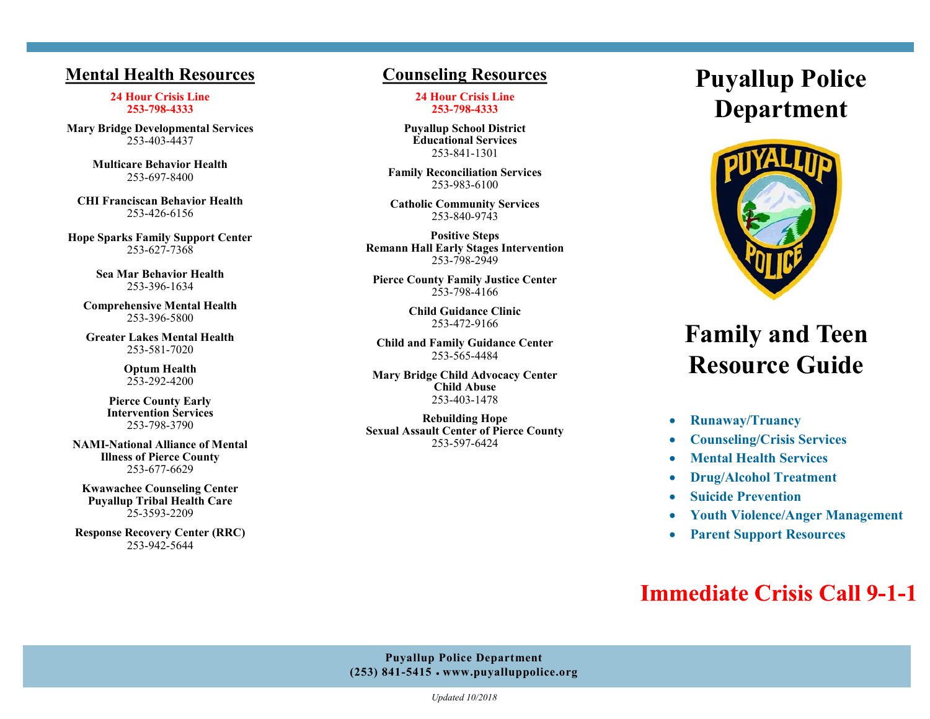## **Mental Health Resources**

**24 Hour Crisis Line 253-798-4333**

**Mary Bridge Developmental Services**  253-403-4437

> **Multicare Behavior Health**  253-697-8400

**CHI Franciscan Behavior Health**  253-426-6156

**Hope Sparks Family Support Center**  253-627-7368

> **Sea Mar Behavior Health**  253-396-1634

**Comprehensive Mental Health**  253-396-5800

**Greater Lakes Mental Health** 253-581-7020

> **Optum Health** 253-292-4200

**Pierce County Early Intervention Services** 253-798-3790

**NAMI-National Alliance of Mental Illness of Pierce County**  253-677-6629

**Kwawachee Counseling Center Puyallup Tribal Health Care**  25-3593-2209

**Response Recovery Center (RRC)**  253-942-5644

### **Counseling Resources**

**24 Hour Crisis Line 253-798-4333**

**Puyallup School District Educational Services**  253-841-1301

**Family Reconciliation Services** 253-983-6100

**Catholic Community Services**  253-840-9743

**Positive Steps Remann Hall Early Stages Intervention** 253-798-2949

**Pierce County Family Justice Center**  253-798-4166

> **Child Guidance Clinic** 253-472-9166

**Child and Family Guidance Center** 253-565-4484

**Mary Bridge Child Advocacy Center Child Abuse**  253-403-1478

**Rebuilding Hope Sexual Assault Center of Pierce County**  253-597-6424

# **Puyallup Police Department**



# **Family and Teen Resource Guide**

- **Runaway/Truancy**
- **Counseling/Crisis Services**
- **Mental Health Services**
- **Drug/Alcohol Treatment**
- **Suicide Prevention**
- **Youth Violence/Anger Management**
- **Parent Support Resources**

## **Immediate Crisis Call 9-1-1**

#### **Puyallup Police Department (253) 841-5415** • **www.puyalluppolice.org**